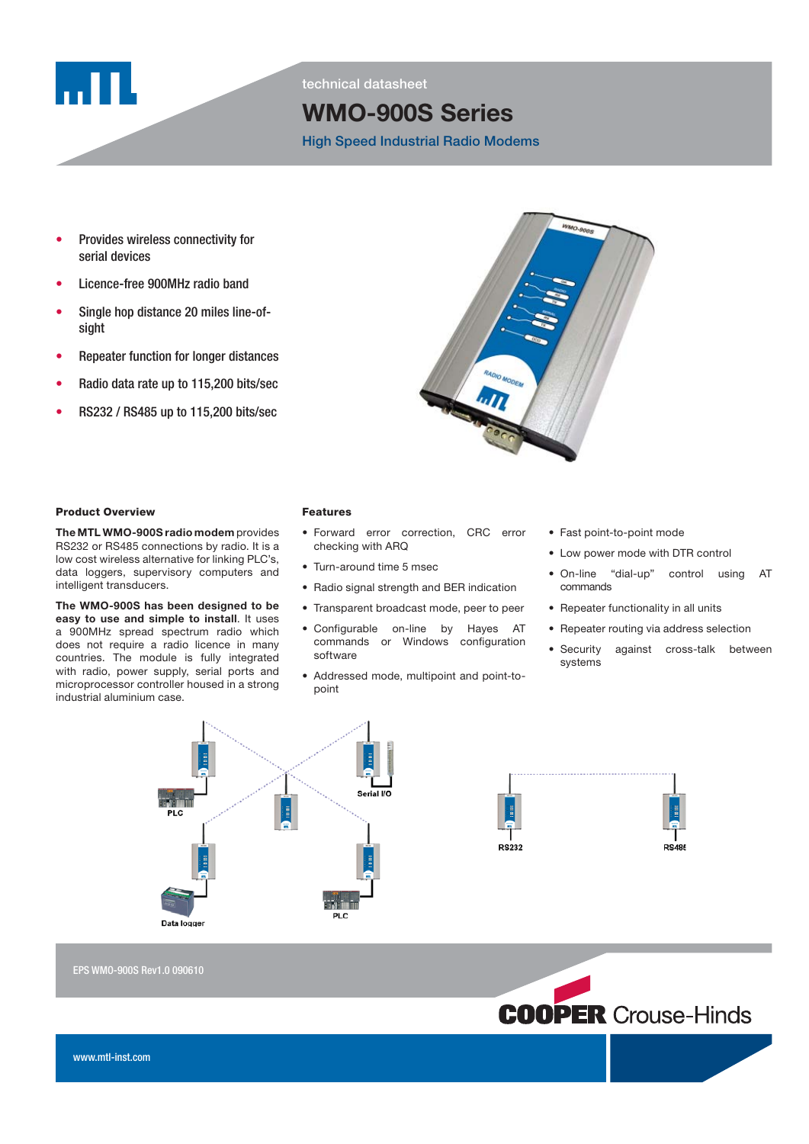

technical datasheet

# WMO-900S Series

High Speed Industrial Radio Modems

- Provides wireless connectivity for serial devices
- Licence-free 900MHz radio band
- Single hop distance 20 miles line-ofsight
- Repeater function for longer distances
- Radio data rate up to 115,200 bits/sec
- RS232 / RS485 up to 115,200 bits/sec



### **Product Overview**

The MTL WMO-900S radio modem provides RS232 or RS485 connections by radio. It is a low cost wireless alternative for linking PLC's, data loggers, supervisory computers and intelligent transducers.

The WMO-900S has been designed to be easy to use and simple to install. It uses a 900MHz spread spectrum radio which does not require a radio licence in many countries. The module is fully integrated with radio, power supply, serial ports and microprocessor controller housed in a strong industrial aluminium case.

#### **Features**

- Forward error correction, CRC error checking with ARQ
- Turn-around time 5 msec
- Radio signal strength and BER indication
- Transparent broadcast mode, peer to peer
- Configurable on-line by Hayes AT commands or Windows configuration software
- Addressed mode, multipoint and point-topoint
- Fast point-to-point mode
- Low power mode with DTR control
- On-line "dial-up" control using AT commands
- Repeater functionality in all units
- Repeater routing via address selection
- Security against cross-talk between systems